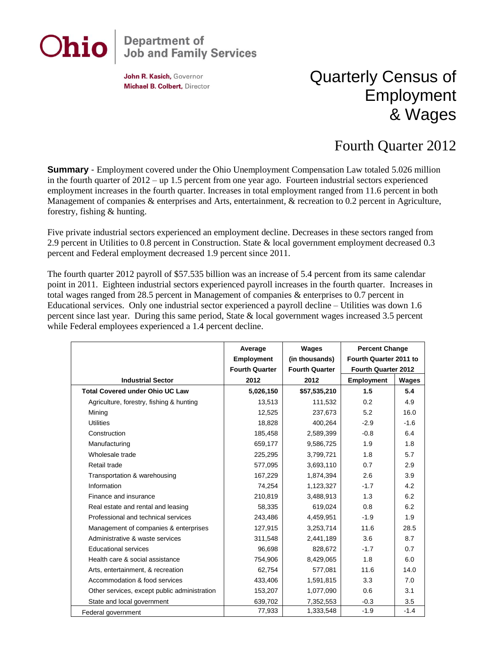# Ohio

## **Department of<br>Job and Family Services**

John R. Kasich, Governor Michael B. Colbert, Director

### Quarterly Census of Employment & Wages

#### Fourth Quarter 2012

**Summary** - Employment covered under the Ohio Unemployment Compensation Law totaled 5.026 million in the fourth quarter of 2012 – up 1.5 percent from one year ago. Fourteen industrial sectors experienced employment increases in the fourth quarter. Increases in total employment ranged from 11.6 percent in both Management of companies & enterprises and Arts, entertainment, & recreation to 0.2 percent in Agriculture, forestry, fishing & hunting.

Five private industrial sectors experienced an employment decline. Decreases in these sectors ranged from 2.9 percent in Utilities to 0.8 percent in Construction. State & local government employment decreased 0.3 percent and Federal employment decreased 1.9 percent since 2011.

The fourth quarter 2012 payroll of \$57.535 billion was an increase of 5.4 percent from its same calendar point in 2011. Eighteen industrial sectors experienced payroll increases in the fourth quarter. Increases in total wages ranged from 28.5 percent in Management of companies & enterprises to 0.7 percent in Educational services. Only one industrial sector experienced a payroll decline – Utilities was down 1.6 percent since last year. During this same period, State & local government wages increased 3.5 percent while Federal employees experienced a 1.4 percent decline.

|                                              | Average               | Wages                 | <b>Percent Change</b>      |        |
|----------------------------------------------|-----------------------|-----------------------|----------------------------|--------|
|                                              | <b>Employment</b>     | (in thousands)        | Fourth Quarter 2011 to     |        |
|                                              | <b>Fourth Quarter</b> | <b>Fourth Quarter</b> | <b>Fourth Quarter 2012</b> |        |
| <b>Industrial Sector</b>                     | 2012                  | 2012                  | <b>Employment</b>          | Wages  |
| <b>Total Covered under Ohio UC Law</b>       | 5,026,150             | \$57,535,210          | 1.5                        | 5.4    |
| Agriculture, forestry, fishing & hunting     | 13,513                | 111,532               | 0.2                        | 4.9    |
| Mining                                       | 12,525                | 237,673               | 5.2                        | 16.0   |
| <b>Utilities</b>                             | 18,828                | 400,264               | $-2.9$                     | $-1.6$ |
| Construction                                 | 185,458               | 2,589,399             | $-0.8$                     | 6.4    |
| Manufacturing                                | 659,177               | 9,586,725             | 1.9                        | 1.8    |
| Wholesale trade                              | 225,295               | 3,799,721             | 1.8                        | 5.7    |
| Retail trade                                 | 577,095               | 3,693,110             | 0.7                        | 2.9    |
| Transportation & warehousing                 | 167,229               | 1,874,394             | 2.6                        | 3.9    |
| Information                                  | 74,254                | 1,123,327             | $-1.7$                     | 4.2    |
| Finance and insurance                        | 210,819               | 3,488,913             | 1.3                        | 6.2    |
| Real estate and rental and leasing           | 58,335                | 619,024               | 0.8                        | 6.2    |
| Professional and technical services          | 243,486               | 4,459,951             | $-1.9$                     | 1.9    |
| Management of companies & enterprises        | 127,915               | 3,253,714             | 11.6                       | 28.5   |
| Administrative & waste services              | 311,548               | 2,441,189             | 3.6                        | 8.7    |
| <b>Educational services</b>                  | 96,698                | 828,672               | $-1.7$                     | 0.7    |
| Health care & social assistance              | 754,906               | 8,429,065             | 1.8                        | 6.0    |
| Arts, entertainment, & recreation            | 62,754                | 577,081               | 11.6                       | 14.0   |
| Accommodation & food services                | 433,406               | 1,591,815             | 3.3                        | 7.0    |
| Other services, except public administration | 153,207               | 1,077,090             | 0.6                        | 3.1    |
| State and local government                   | 639,702               | 7,352,553             | $-0.3$                     | 3.5    |
| Federal government                           | 77,933                | 1,333,548             | $-1.9$                     | $-1.4$ |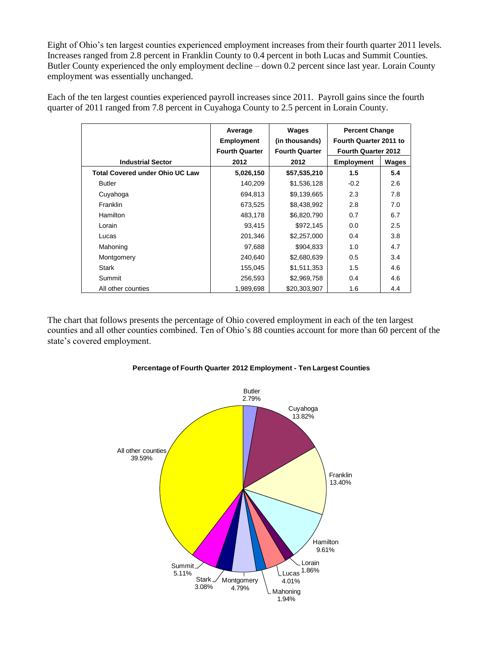Eight of Ohio's ten largest counties experienced employment increases from their fourth quarter 2011 levels. Increases ranged from 2.8 percent in Franklin County to 0.4 percent in both Lucas and Summit Counties. Butler County experienced the only employment decline – down 0.2 percent since last year. Lorain County employment was essentially unchanged.

Each of the ten largest counties experienced payroll increases since 2011. Payroll gains since the fourth quarter of 2011 ranged from 7.8 percent in Cuyahoga County to 2.5 percent in Lorain County.

|                                        | Average               | Wages                 | <b>Percent Change</b>      |       |
|----------------------------------------|-----------------------|-----------------------|----------------------------|-------|
|                                        | <b>Employment</b>     | (in thousands)        | Fourth Quarter 2011 to     |       |
|                                        | <b>Fourth Quarter</b> | <b>Fourth Quarter</b> | <b>Fourth Quarter 2012</b> |       |
| <b>Industrial Sector</b>               | 2012                  | 2012                  | Employment                 | Wages |
| <b>Total Covered under Ohio UC Law</b> | 5,026,150             | \$57,535,210          | 1.5                        | 5.4   |
| <b>Butler</b>                          | 140,209               | \$1,536,128           | $-0.2$                     | 2.6   |
| Cuyahoga                               | 694,813               | \$9,139,665           | 2.3                        | 7.8   |
| <b>Franklin</b>                        | 673,525               | \$8,438,992           | 2.8                        | 7.0   |
| <b>Hamilton</b>                        | 483,178               | \$6,820,790           | 0.7                        | 6.7   |
| Lorain                                 | 93,415                | \$972,145             | 0.0                        | 2.5   |
| Lucas                                  | 201,346               | \$2,257,000           | 0.4                        | 3.8   |
| Mahoning                               | 97,688                | \$904,833             | 1.0                        | 4.7   |
| Montgomery                             | 240,640               | \$2,680,639           | 0.5                        | 3.4   |
| Stark                                  | 155,045               | \$1,511,353           | 1.5                        | 4.6   |
| Summit                                 | 256,593               | \$2,969,758           | 0.4                        | 4.6   |
| All other counties                     | 1,989,698             | \$20,303,907          | 1.6                        | 4.4   |

The chart that follows presents the percentage of Ohio covered employment in each of the ten largest counties and all other counties combined. Ten of Ohio's 88 counties account for more than 60 percent of the state's covered employment.



#### **Percentage of Fourth Quarter 2012 Employment - Ten Largest Counties**